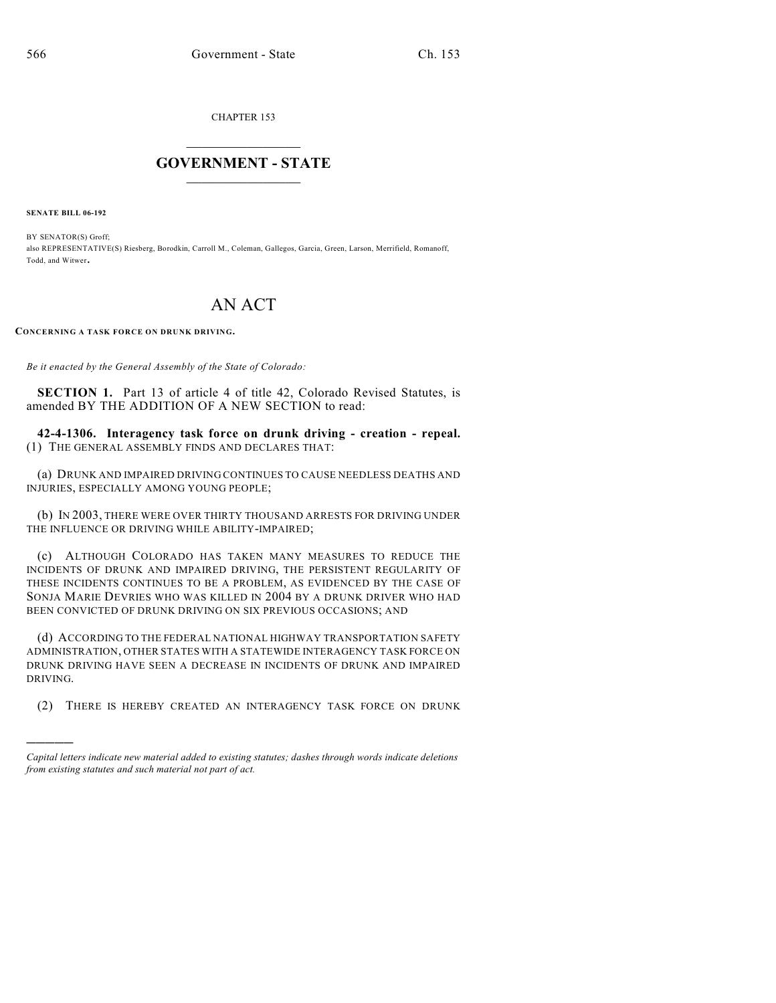CHAPTER 153

## $\overline{\phantom{a}}$  . The set of the set of the set of the set of the set of the set of the set of the set of the set of the set of the set of the set of the set of the set of the set of the set of the set of the set of the set o **GOVERNMENT - STATE**  $\_$

**SENATE BILL 06-192**

)))))

BY SENATOR(S) Groff; also REPRESENTATIVE(S) Riesberg, Borodkin, Carroll M., Coleman, Gallegos, Garcia, Green, Larson, Merrifield, Romanoff, Todd, and Witwer.

## AN ACT

**CONCERNING A TASK FORCE ON DRUNK DRIVING.**

*Be it enacted by the General Assembly of the State of Colorado:*

**SECTION 1.** Part 13 of article 4 of title 42, Colorado Revised Statutes, is amended BY THE ADDITION OF A NEW SECTION to read:

**42-4-1306. Interagency task force on drunk driving - creation - repeal.** (1) THE GENERAL ASSEMBLY FINDS AND DECLARES THAT:

(a) DRUNK AND IMPAIRED DRIVING CONTINUES TO CAUSE NEEDLESS DEATHS AND INJURIES, ESPECIALLY AMONG YOUNG PEOPLE;

(b) IN 2003, THERE WERE OVER THIRTY THOUSAND ARRESTS FOR DRIVING UNDER THE INFLUENCE OR DRIVING WHILE ABILITY-IMPAIRED;

(c) ALTHOUGH COLORADO HAS TAKEN MANY MEASURES TO REDUCE THE INCIDENTS OF DRUNK AND IMPAIRED DRIVING, THE PERSISTENT REGULARITY OF THESE INCIDENTS CONTINUES TO BE A PROBLEM, AS EVIDENCED BY THE CASE OF SONJA MARIE DEVRIES WHO WAS KILLED IN 2004 BY A DRUNK DRIVER WHO HAD BEEN CONVICTED OF DRUNK DRIVING ON SIX PREVIOUS OCCASIONS; AND

(d) ACCORDING TO THE FEDERAL NATIONAL HIGHWAY TRANSPORTATION SAFETY ADMINISTRATION, OTHER STATES WITH A STATEWIDE INTERAGENCY TASK FORCE ON DRUNK DRIVING HAVE SEEN A DECREASE IN INCIDENTS OF DRUNK AND IMPAIRED DRIVING.

(2) THERE IS HEREBY CREATED AN INTERAGENCY TASK FORCE ON DRUNK

*Capital letters indicate new material added to existing statutes; dashes through words indicate deletions from existing statutes and such material not part of act.*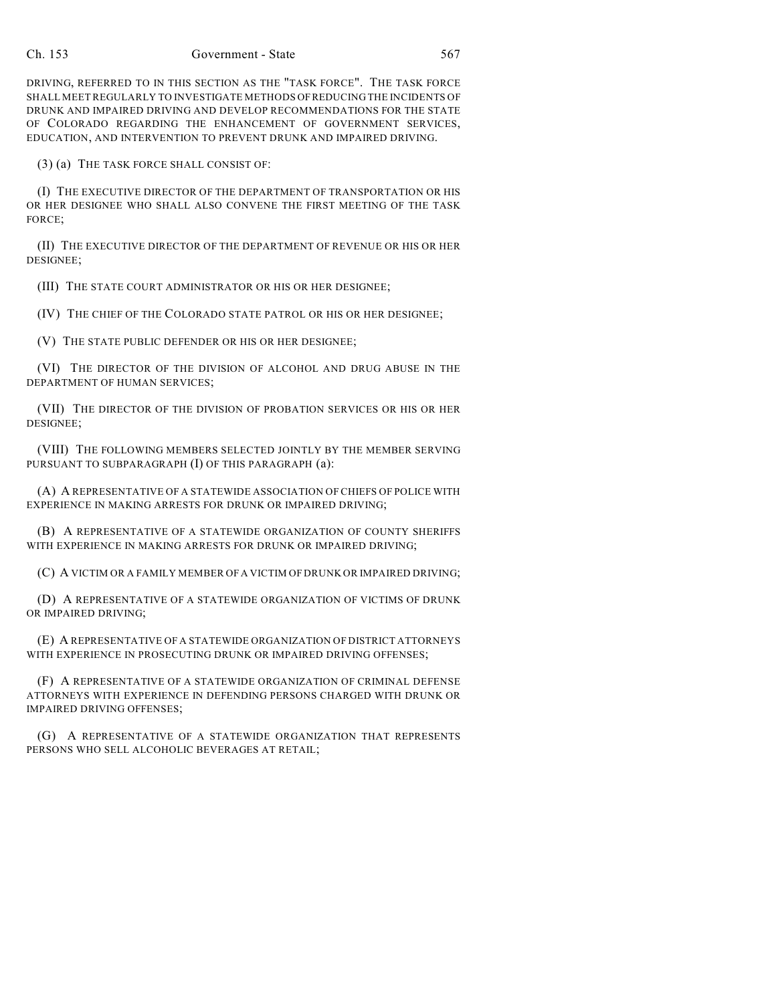DRIVING, REFERRED TO IN THIS SECTION AS THE "TASK FORCE". THE TASK FORCE SHALL MEET REGULARLY TO INVESTIGATE METHODS OF REDUCING THE INCIDENTS OF DRUNK AND IMPAIRED DRIVING AND DEVELOP RECOMMENDATIONS FOR THE STATE OF COLORADO REGARDING THE ENHANCEMENT OF GOVERNMENT SERVICES, EDUCATION, AND INTERVENTION TO PREVENT DRUNK AND IMPAIRED DRIVING.

(3) (a) THE TASK FORCE SHALL CONSIST OF:

(I) THE EXECUTIVE DIRECTOR OF THE DEPARTMENT OF TRANSPORTATION OR HIS OR HER DESIGNEE WHO SHALL ALSO CONVENE THE FIRST MEETING OF THE TASK FORCE;

(II) THE EXECUTIVE DIRECTOR OF THE DEPARTMENT OF REVENUE OR HIS OR HER DESIGNEE;

(III) THE STATE COURT ADMINISTRATOR OR HIS OR HER DESIGNEE;

(IV) THE CHIEF OF THE COLORADO STATE PATROL OR HIS OR HER DESIGNEE;

(V) THE STATE PUBLIC DEFENDER OR HIS OR HER DESIGNEE;

(VI) THE DIRECTOR OF THE DIVISION OF ALCOHOL AND DRUG ABUSE IN THE DEPARTMENT OF HUMAN SERVICES;

(VII) THE DIRECTOR OF THE DIVISION OF PROBATION SERVICES OR HIS OR HER DESIGNEE;

(VIII) THE FOLLOWING MEMBERS SELECTED JOINTLY BY THE MEMBER SERVING PURSUANT TO SUBPARAGRAPH (I) OF THIS PARAGRAPH (a):

(A) A REPRESENTATIVE OF A STATEWIDE ASSOCIATION OF CHIEFS OF POLICE WITH EXPERIENCE IN MAKING ARRESTS FOR DRUNK OR IMPAIRED DRIVING;

(B) A REPRESENTATIVE OF A STATEWIDE ORGANIZATION OF COUNTY SHERIFFS WITH EXPERIENCE IN MAKING ARRESTS FOR DRUNK OR IMPAIRED DRIVING;

(C) A VICTIM OR A FAMILY MEMBER OF A VICTIM OF DRUNK OR IMPAIRED DRIVING;

(D) A REPRESENTATIVE OF A STATEWIDE ORGANIZATION OF VICTIMS OF DRUNK OR IMPAIRED DRIVING;

(E) A REPRESENTATIVE OF A STATEWIDE ORGANIZATION OF DISTRICT ATTORNEYS WITH EXPERIENCE IN PROSECUTING DRUNK OR IMPAIRED DRIVING OFFENSES;

(F) A REPRESENTATIVE OF A STATEWIDE ORGANIZATION OF CRIMINAL DEFENSE ATTORNEYS WITH EXPERIENCE IN DEFENDING PERSONS CHARGED WITH DRUNK OR IMPAIRED DRIVING OFFENSES;

(G) A REPRESENTATIVE OF A STATEWIDE ORGANIZATION THAT REPRESENTS PERSONS WHO SELL ALCOHOLIC BEVERAGES AT RETAIL;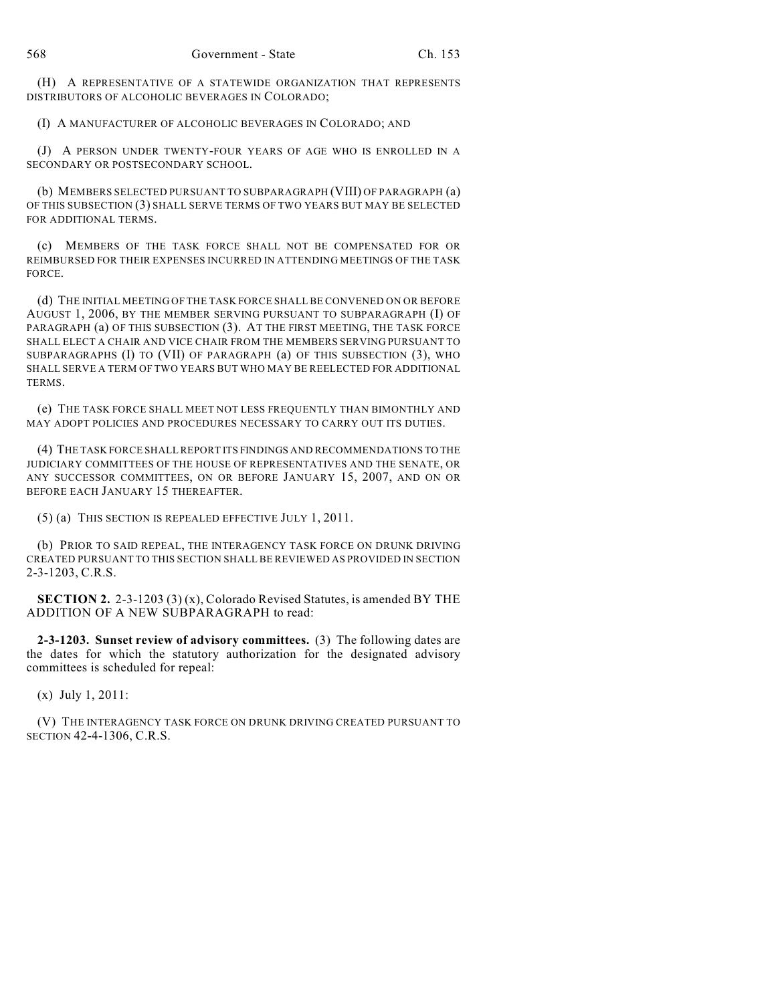(H) A REPRESENTATIVE OF A STATEWIDE ORGANIZATION THAT REPRESENTS DISTRIBUTORS OF ALCOHOLIC BEVERAGES IN COLORADO;

(I) A MANUFACTURER OF ALCOHOLIC BEVERAGES IN COLORADO; AND

(J) A PERSON UNDER TWENTY-FOUR YEARS OF AGE WHO IS ENROLLED IN A SECONDARY OR POSTSECONDARY SCHOOL.

(b) MEMBERS SELECTED PURSUANT TO SUBPARAGRAPH (VIII) OF PARAGRAPH (a) OF THIS SUBSECTION (3) SHALL SERVE TERMS OF TWO YEARS BUT MAY BE SELECTED FOR ADDITIONAL TERMS.

(c) MEMBERS OF THE TASK FORCE SHALL NOT BE COMPENSATED FOR OR REIMBURSED FOR THEIR EXPENSES INCURRED IN ATTENDING MEETINGS OF THE TASK FORCE.

(d) THE INITIAL MEETING OF THE TASK FORCE SHALL BE CONVENED ON OR BEFORE AUGUST 1, 2006, BY THE MEMBER SERVING PURSUANT TO SUBPARAGRAPH (I) OF PARAGRAPH (a) OF THIS SUBSECTION (3). AT THE FIRST MEETING, THE TASK FORCE SHALL ELECT A CHAIR AND VICE CHAIR FROM THE MEMBERS SERVING PURSUANT TO SUBPARAGRAPHS (I) TO (VII) OF PARAGRAPH (a) OF THIS SUBSECTION (3), WHO SHALL SERVE A TERM OF TWO YEARS BUT WHO MAY BE REELECTED FOR ADDITIONAL TERMS.

(e) THE TASK FORCE SHALL MEET NOT LESS FREQUENTLY THAN BIMONTHLY AND MAY ADOPT POLICIES AND PROCEDURES NECESSARY TO CARRY OUT ITS DUTIES.

(4) THE TASK FORCE SHALL REPORT ITS FINDINGS AND RECOMMENDATIONS TO THE JUDICIARY COMMITTEES OF THE HOUSE OF REPRESENTATIVES AND THE SENATE, OR ANY SUCCESSOR COMMITTEES, ON OR BEFORE JANUARY 15, 2007, AND ON OR BEFORE EACH JANUARY 15 THEREAFTER.

(5) (a) THIS SECTION IS REPEALED EFFECTIVE JULY 1, 2011.

(b) PRIOR TO SAID REPEAL, THE INTERAGENCY TASK FORCE ON DRUNK DRIVING CREATED PURSUANT TO THIS SECTION SHALL BE REVIEWED AS PROVIDED IN SECTION 2-3-1203, C.R.S.

**SECTION 2.** 2-3-1203 (3) (x), Colorado Revised Statutes, is amended BY THE ADDITION OF A NEW SUBPARAGRAPH to read:

**2-3-1203. Sunset review of advisory committees.** (3) The following dates are the dates for which the statutory authorization for the designated advisory committees is scheduled for repeal:

(x) July 1, 2011:

(V) THE INTERAGENCY TASK FORCE ON DRUNK DRIVING CREATED PURSUANT TO SECTION 42-4-1306, C.R.S.